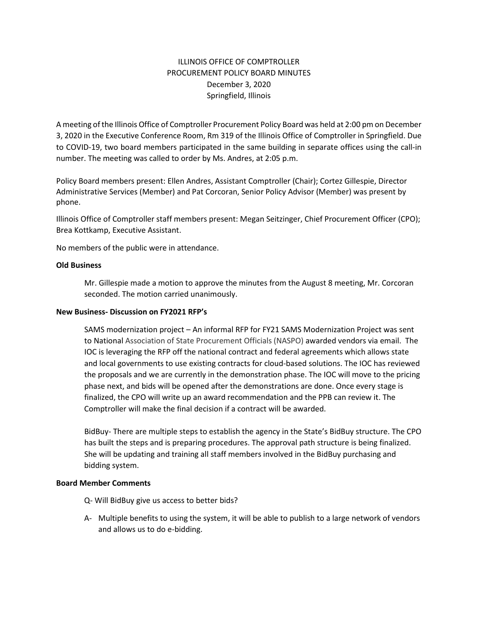# ILLINOIS OFFICE OF COMPTROLLER PROCUREMENT POLICY BOARD MINUTES December 3, 2020 Springfield, Illinois

A meeting of the Illinois Office of Comptroller Procurement Policy Board was held at 2:00 pm on December 3, 2020 in the Executive Conference Room, Rm 319 of the Illinois Office of Comptroller in Springfield. Due to COVID-19, two board members participated in the same building in separate offices using the call-in number. The meeting was called to order by Ms. Andres, at 2:05 p.m.

Policy Board members present: Ellen Andres, Assistant Comptroller (Chair); Cortez Gillespie, Director Administrative Services (Member) and Pat Corcoran, Senior Policy Advisor (Member) was present by phone.

Illinois Office of Comptroller staff members present: Megan Seitzinger, Chief Procurement Officer (CPO); Brea Kottkamp, Executive Assistant.

No members of the public were in attendance.

### **Old Business**

Mr. Gillespie made a motion to approve the minutes from the August 8 meeting, Mr. Corcoran seconded. The motion carried unanimously.

#### **New Business- Discussion on FY2021 RFP's**

SAMS modernization project – An informal RFP for FY21 SAMS Modernization Project was sent to National Association of State Procurement Officials (NASPO) awarded vendors via email. The IOC is leveraging the RFP off the national contract and federal agreements which allows state and local governments to use existing contracts for cloud-based solutions. The IOC has reviewed the proposals and we are currently in the demonstration phase. The IOC will move to the pricing phase next, and bids will be opened after the demonstrations are done. Once every stage is finalized, the CPO will write up an award recommendation and the PPB can review it. The Comptroller will make the final decision if a contract will be awarded.

BidBuy- There are multiple steps to establish the agency in the State's BidBuy structure. The CPO has built the steps and is preparing procedures. The approval path structure is being finalized. She will be updating and training all staff members involved in the BidBuy purchasing and bidding system.

#### **Board Member Comments**

- Q- Will BidBuy give us access to better bids?
- A- Multiple benefits to using the system, it will be able to publish to a large network of vendors and allows us to do e-bidding.